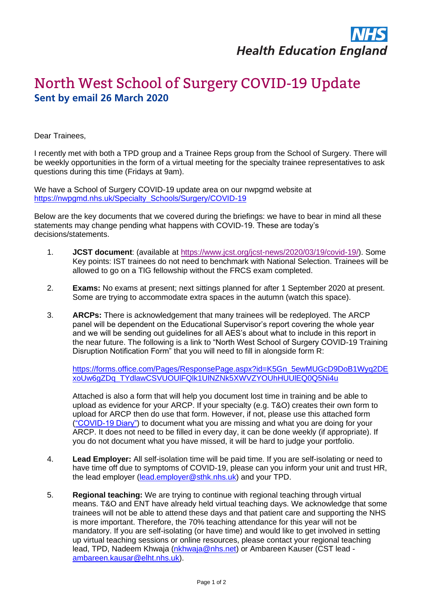## North West School of Surgery COVID-19 Update **Sent by email 26 March 2020**

Dear Trainees,

I recently met with both a TPD group and a Trainee Reps group from the School of Surgery. There will be weekly opportunities in the form of a virtual meeting for the specialty trainee representatives to ask questions during this time (Fridays at 9am).

We have a School of Surgery COVID-19 update area on our nwpgmd website at [https://nwpgmd.nhs.uk/Specialty\\_Schools/Surgery/COVID-19](https://nwpgmd.nhs.uk/Specialty_Schools/Surgery/COVID-19)

Below are the key documents that we covered during the briefings: we have to bear in mind all these statements may change pending what happens with COVID-19. These are today's decisions/statements.

- 1. **JCST document**: (available at [https://www.jcst.org/jcst-news/2020/03/19/covid-19/\)](https://www.jcst.org/jcst-news/2020/03/19/covid-19/). Some Key points: IST trainees do not need to benchmark with National Selection. Trainees will be allowed to go on a TIG fellowship without the FRCS exam completed.
- 2. **Exams:** No exams at present; next sittings planned for after 1 September 2020 at present. Some are trying to accommodate extra spaces in the autumn (watch this space).
- 3. **ARCPs:** There is acknowledgement that many trainees will be redeployed. The ARCP panel will be dependent on the Educational Supervisor's report covering the whole year and we will be sending out guidelines for all AES's about what to include in this report in the near future. The following is a link to "North West School of Surgery COVID-19 Training Disruption Notification Form" that you will need to fill in alongside form R:

[https://forms.office.com/Pages/ResponsePage.aspx?id=K5Gn\\_5ewMUGcD9DoB1Wyq2DE](https://forms.office.com/Pages/ResponsePage.aspx?id=K5Gn_5ewMUGcD9DoB1Wyq2DExoUw6gZDq_TYdlawCSVUOUlFQlk1UlNZNk5XWVZYOUhHUUlEQ0Q5Ni4u) [xoUw6gZDq\\_TYdlawCSVUOUlFQlk1UlNZNk5XWVZYOUhHUUlEQ0Q5Ni4u](https://forms.office.com/Pages/ResponsePage.aspx?id=K5Gn_5ewMUGcD9DoB1Wyq2DExoUw6gZDq_TYdlawCSVUOUlFQlk1UlNZNk5XWVZYOUhHUUlEQ0Q5Ni4u)

Attached is also a form that will help you document lost time in training and be able to upload as evidence for your ARCP. If your specialty (e.g. T&O) creates their own form to upload for ARCP then do use that form. However, if not, please use this attached form [\("COVID-19 Diary"\)](https://nwpgmd.nhs.uk/sites/default/files/COVID-19%20diary_0.doc) to document what you are missing and what you are doing for your ARCP. It does not need to be filled in every day, it can be done weekly (if appropriate). If you do not document what you have missed, it will be hard to judge your portfolio.

- 4. **Lead Employer:** All self-isolation time will be paid time. If you are self-isolating or need to have time off due to symptoms of COVID-19, please can you inform your unit and trust HR, the lead employer [\(lead.employer@sthk.nhs.uk\)](mailto:lead.employer@sthk.nhs.uk) and your TPD.
- 5. **Regional teaching:** We are trying to continue with regional teaching through virtual means. T&O and ENT have already held virtual teaching days. We acknowledge that some trainees will not be able to attend these days and that patient care and supporting the NHS is more important. Therefore, the 70% teaching attendance for this year will not be mandatory. If you are self-isolating (or have time) and would like to get involved in setting up virtual teaching sessions or online resources, please contact your regional teaching lead, TPD, Nadeem Khwaja [\(nkhwaja@nhs.net\)](mailto:nkhwaja@nhs.net) or Ambareen Kauser (CST lead [ambareen.kausar@elht.nhs.uk\)](mailto:ambareen.kausar@elht.nhs.uk).